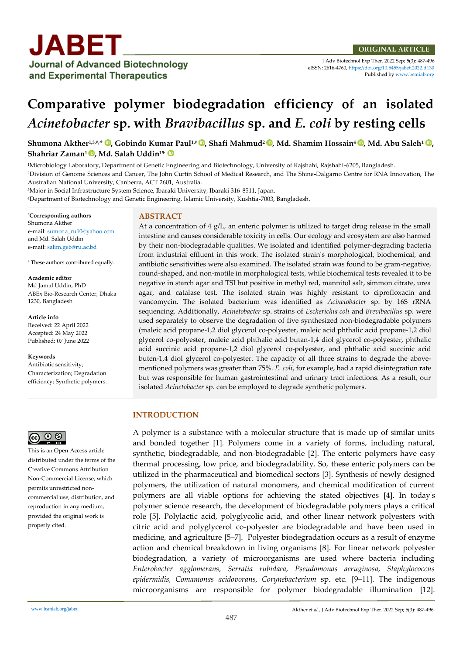

J Adv Biotechnol Exp Ther. 2022 Sep; 5(3): 487-496 eISSN: 2616-4760[, https://doi.org/10.5455/jabet.2022.d130](https://doi.org/10.5455/jabet.2022.d130)  Published b[y www.bsmiab.org](http://www.bsmiab.org/)

# **Comparative polymer biodegradation efficiency of an isolated**  *Acinetobacter* **sp. with** *Bravibacillus* **sp. and** *E. coli* **by resting cells**

**Shumona Akther1,3,#,\* , Gobindo Kumar Paul1,# , Shafi Mahmud<sup>2</sup> , Md. Shamim Hossain<sup>4</sup> , Md. Abu Saleh<sup>1</sup> [,](https://orcid.org/0000-0001-5610-4763) Shahriar Zaman<sup>1</sup> , Md. Salah Uddin1\*** 

<sup>1</sup>Microbiology Laboratory, Department of Genetic Engineering and Biotechnology, University of Rajshahi, Rajshahi-6205, Bangladesh.

<sup>2</sup>Division of Genome Sciences and Cancer, The John Curtin School of Medical Research, and The Shine-Dalgarno Centre for RNA Innovation, The Australian National University, Canberra, ACT 2601, Australia.

<sup>3</sup>Major in Social Infrastructure System Science, Ibaraki University, Ibaraki 316-8511, Japan.

<sup>4</sup>Department of Biotechnology and Genetic Engineering, Islamic University, Kushtia-7003, Bangladesh.

\***Corresponding authors** Shumona Akther e-mail[: sumona\\_ru10@yahoo.com](mailto:sumona_ru10@yahoo.com) and Md. Salah Uddin e-mail[: salim.geb@ru.ac.bd](mailto:salim.geb@ru.ac.bd) 

# These authors contributed equally.

#### **Academic editor**

Md Jamal Uddin, PhD ABEx Bio-Research Center, Dhaka 1230, Bangladesh

#### **Article info**

Received: 22 April 2022 Accepted: 24 May 2022 Published: 07 June 2022

#### **Keywords**

Antibiotic sensitivity; Characterization; Degradation efficiency; Synthetic polymers.

# ര്ര 0  $\circledcirc$

This is an Open Access article distributed under the terms of the Creative Commons Attribution Non-Commercial License, which permits unrestricted noncommercial use, distribution, and reproduction in any medium, provided the original work is properly cited.

# **ABSTRACT**

At a concentration of  $4 g/L$ , an enteric polymer is utilized to target drug release in the small intestine and causes considerable toxicity in cells. Our ecology and ecosystem are also harmed by their non-biodegradable qualities. We isolated and identified polymer-degrading bacteria from industrial effluent in this work. The isolated strain's morphological, biochemical, and antibiotic sensitivities were also examined. The isolated strain was found to be gram-negative, round-shaped, and non-motile in morphological tests, while biochemical tests revealed it to be negative in starch agar and TSI but positive in methyl red, mannitol salt, simmon citrate, urea agar, and catalase test. The isolated strain was highly resistant to ciprofloxacin and vancomycin. The isolated bacterium was identified as *Acinetobacter* sp. by 16S rRNA sequencing. Additionally, *Acinetobacter* sp. strains of *Escherichia coli* and *Brevibacillus* sp. were used separately to observe the degradation of five synthesized non-biodegradable polymers (maleic acid propane-1,2 diol glycerol co-polyester, maleic acid phthalic acid propane-1,2 diol glycerol co-polyester, maleic acid phthalic acid butan-1,4 diol glycerol co-polyester, phthalic acid succinic acid propane-1,2 diol glycerol co-polyester, and phthalic acid succinic acid buten-1,4 diol glycerol co-polyester. The capacity of all three strains to degrade the abovementioned polymers was greater than 75%. *E. coli*, for example, had a rapid disintegration rate but was responsible for human gastrointestinal and urinary tract infections. As a result, our isolated *Acinetobacter* sp. can be employed to degrade synthetic polymers.

#### **INTRODUCTION**

A polymer is a substance with a molecular structure that is made up of similar units and bonded together [1]. Polymers come in a variety of forms, including natural, synthetic, biodegradable, and non-biodegradable [2]. The enteric polymers have easy thermal processing, low price, and biodegradability. So, these enteric polymers can be utilized in the pharmaceutical and biomedical sectors [3]. Synthesis of newly designed polymers, the utilization of natural monomers, and chemical modification of current polymers are all viable options for achieving the stated objectives [4]. In today's polymer science research, the development of biodegradable polymers plays a critical role [5]. Polylactic acid, polyglycolic acid, and other linear network polyesters with citric acid and polyglycerol co-polyester are biodegradable and have been used in medicine, and agriculture [5–7]. Polyester biodegradation occurs as a result of enzyme action and chemical breakdown in living organisms [8]. For linear network polyester biodegradation, a variety of microorganisms are used where bacteria including *Enterobacter agglomerans, Serratia rubidaea, Pseudomonas aeruginosa, Staphylococcus epidermidis, Comamonas acidovorans, Corynebacterium* sp. etc. [9–11]. The indigenous microorganisms are responsible for polymer biodegradable illumination [12].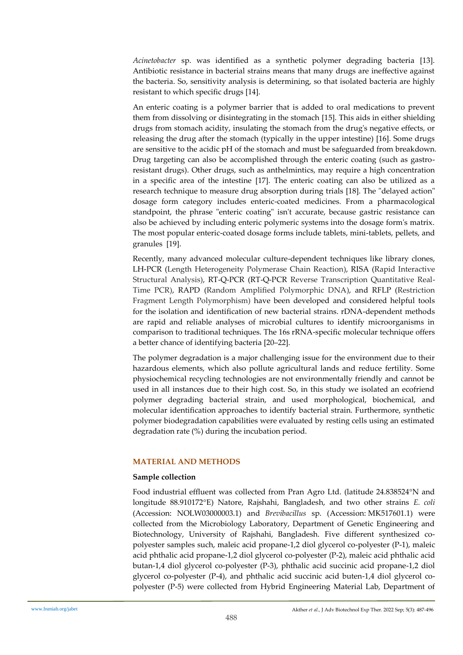*Acinetobacter* sp. was identified as a synthetic polymer degrading bacteria [13]. Antibiotic resistance in bacterial strains means that many drugs are ineffective against the bacteria. So, sensitivity analysis is determining, so that isolated bacteria are highly resistant to which specific drugs [14].

An enteric coating is a polymer barrier that is added to oral medications to prevent them from dissolving or disintegrating in the stomach [15]. This aids in either shielding drugs from stomach acidity, insulating the stomach from the drug's negative effects, or releasing the drug after the stomach (typically in the upper intestine) [16]. Some drugs are sensitive to the acidic pH of the stomach and must be safeguarded from breakdown. Drug targeting can also be accomplished through the enteric coating (such as gastroresistant drugs). Other drugs, such as anthelmintics, may require a high concentration in a specific area of the intestine [17]. The enteric coating can also be utilized as a research technique to measure drug absorption during trials [18]. The "delayed action" dosage form category includes enteric-coated medicines. From a pharmacological standpoint, the phrase "enteric coating" isn't accurate, because gastric resistance can also be achieved by including enteric polymeric systems into the dosage form's matrix. The most popular enteric-coated dosage forms include tablets, mini-tablets, pellets, and granules [19].

Recently, many advanced molecular culture-dependent techniques like library clones, LH-PCR (Length Heterogeneity Polymerase Chain Reaction), RISA (Rapid Interactive Structural Analysis), RT-Q-PCR (RT-Q-PCR Reverse Transcription Quantitative Real-Time PCR), RAPD (Random Amplified Polymorphic DNA), and RFLP (Restriction Fragment Length Polymorphism) have been developed and considered helpful tools for the isolation and identification of new bacterial strains. rDNA-dependent methods are rapid and reliable analyses of microbial cultures to identify microorganisms in comparison to traditional techniques. The 16s rRNA-specific molecular technique offers a better chance of identifying bacteria [20–22].

The polymer degradation is a major challenging issue for the environment due to their hazardous elements, which also pollute agricultural lands and reduce fertility. Some physiochemical recycling technologies are not environmentally friendly and cannot be used in all instances due to their high cost. So, in this study we isolated an ecofriend polymer degrading bacterial strain, and used morphological, biochemical, and molecular identification approaches to identify bacterial strain. Furthermore, synthetic polymer biodegradation capabilities were evaluated by resting cells using an estimated degradation rate (%) during the incubation period.

#### **MATERIAL AND METHODS**

#### **Sample collection**

Food industrial effluent was collected from Pran Agro Ltd. (latitude 24.838524°N and longitude 88.910172E) Natore, Rajshahi, Bangladesh, and two other strains *E. coli*  (Accession: NOLW03000003.1) and *Brevibacillus* sp. (Accession: MK517601.1) were collected from the Microbiology Laboratory, Department of Genetic Engineering and Biotechnology, University of Rajshahi, Bangladesh. Five different synthesized copolyester samples such, maleic acid propane-1,2 diol glycerol co-polyester (P-1), maleic acid phthalic acid propane-1,2 diol glycerol co-polyester (P-2), maleic acid phthalic acid butan-1,4 diol glycerol co-polyester (P-3), phthalic acid succinic acid propane-1,2 diol glycerol co-polyester (P-4), and phthalic acid succinic acid buten-1,4 diol glycerol copolyester (P-5) were collected from Hybrid Engineering Material Lab, Department of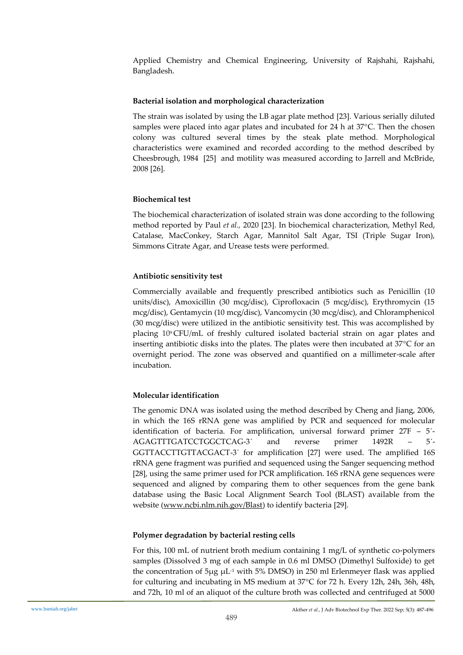Applied Chemistry and Chemical Engineering, University of Rajshahi, Rajshahi, Bangladesh.

### **Bacterial isolation and morphological characterization**

The strain was isolated by using the LB agar plate method [23]. Various serially diluted samples were placed into agar plates and incubated for 24 h at  $37^{\circ}$ C. Then the chosen colony was cultured several times by the steak plate method. Morphological characteristics were examined and recorded according to the method described by Cheesbrough, 1984 [25] and motility was measured according to Jarrell and McBride, 2008 [26].

# **Biochemical test**

The biochemical characterization of isolated strain was done according to the following method reported by Paul *et al.,* 2020 [23]. In biochemical characterization, Methyl Red, Catalase, MacConkey, Starch Agar, Mannitol Salt Agar, TSI (Triple Sugar Iron), Simmons Citrate Agar, and Urease tests were performed.

# **Antibiotic sensitivity test**

Commercially available and frequently prescribed antibiotics such as Penicillin (10 units/disc), Amoxicillin (30 mcg/disc), Ciprofloxacin (5 mcg/disc), Erythromycin (15 mcg/disc), Gentamycin (10 mcg/disc), Vancomycin (30 mcg/disc), and Chloramphenicol (30 mcg/disc) were utilized in the antibiotic sensitivity test. This was accomplished by placing 10<sup>9</sup> CFU/mL of freshly cultured isolated bacterial strain on agar plates and inserting antibiotic disks into the plates. The plates were then incubated at  $37^{\circ}$ C for an overnight period. The zone was observed and quantified on a millimeter-scale after incubation.

# **Molecular identification**

The genomic DNA was isolated using the method described by Cheng and Jiang, 2006, in which the 16S rRNA gene was amplified by PCR and sequenced for molecular identification of bacteria. For amplification, universal forward primer 27F – 5ˊ-AGAGTTTGATCCTGGCTCAG-3ˊ and reverse primer 1492R – 5ˊ-GGTTACCTTGTTACGACT-3ˊ for amplification [27] were used. The amplified 16S rRNA gene fragment was purified and sequenced using the Sanger sequencing method [28], using the same primer used for PCR amplification. 16S rRNA gene sequences were sequenced and aligned by comparing them to other sequences from the gene bank database using the Basic Local Alignment Search Tool (BLAST) available from the website [\(www.ncbi.nlm.nih.gov/Blast\)](http://www.ncbi.nlm.nih.gov/Blast) to identify bacteria [29].

# **Polymer degradation by bacterial resting cells**

For this, 100 mL of nutrient broth medium containing 1 mg/L of synthetic co-polymers samples (Dissolved 3 mg of each sample in 0.6 ml DMSO (Dimethyl Sulfoxide) to get the concentration of  $5\mu$ g  $\mu$ L<sup>-1</sup> with 5% DMSO) in 250 ml Erlenmeyer flask was applied for culturing and incubating in MS medium at  $37^{\circ}$ C for 72 h. Every 12h, 24h, 36h, 48h, and 72h, 10 ml of an aliquot of the culture broth was collected and centrifuged at 5000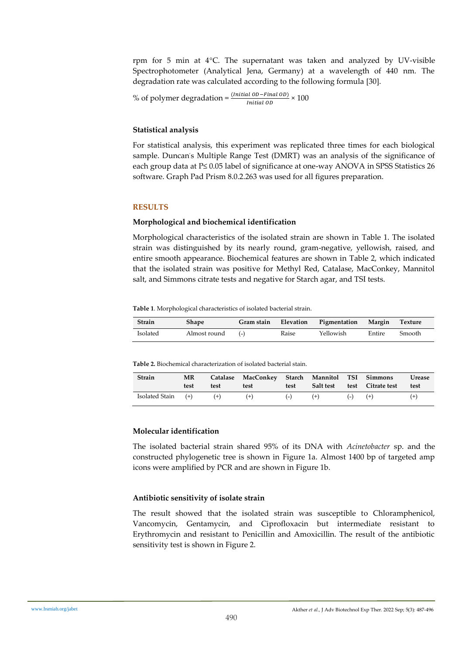rpm for 5 min at  $4^{\circ}$ C. The supernatant was taken and analyzed by UV-visible Spectrophotometer (Analytical Jena, Germany) at a wavelength of 440 nm. The degradation rate was calculated according to the following formula [30].

% of polymer degradation =  $\frac{(Initial OD - Final OD)}{Initial OD} \times 100$ Initial OD

#### **Statistical analysis**

For statistical analysis, this experiment was replicated three times for each biological sample. Duncan's Multiple Range Test (DMRT) was an analysis of the significance of each group data at P≤ 0.05 label of significance at one-way ANOVA in SPSS Statistics 26 software. Graph Pad Prism 8.0.2.263 was used for all figures preparation.

#### **RESULTS**

#### **Morphological and biochemical identification**

Morphological characteristics of the isolated strain are shown in Table 1. The isolated strain was distinguished by its nearly round, gram-negative, yellowish, raised, and entire smooth appearance. Biochemical features are shown in Table 2, which indicated that the isolated strain was positive for Methyl Red, Catalase, MacConkey, Mannitol salt, and Simmons citrate tests and negative for Starch agar, and TSI tests.

#### **Table 1**. Morphological characteristics of isolated bacterial strain.

| Strain   | Shape        | Gram stain |       | Elevation Pigmentation | Margin | Texture       |
|----------|--------------|------------|-------|------------------------|--------|---------------|
| Isolated | Almost round | $(-)$      | Raise | Yellowish              | Entire | <b>Smooth</b> |

**Table 2.** Biochemical characterization of isolated bacterial stain.

| <b>Strain</b>              | MR<br>test | test | Catalase MacConkey Starch Mannitol TSI Simmons<br>test | test |       |             | Salt test test Citrate test | Urease<br>test |
|----------------------------|------------|------|--------------------------------------------------------|------|-------|-------------|-----------------------------|----------------|
| Isolated Stain $(+)$ $(+)$ |            |      | $(+)$                                                  |      | $(+)$ | $(-)$ $(+)$ |                             | $^{(+)}$       |

#### **Molecular identification**

The isolated bacterial strain shared 95% of its DNA with *Acinetobacter* sp. and the constructed phylogenetic tree is shown in Figure 1a. Almost 1400 bp of targeted amp icons were amplified by PCR and are shown in Figure 1b.

#### **Antibiotic sensitivity of isolate strain**

The result showed that the isolated strain was susceptible to Chloramphenicol, Vancomycin, Gentamycin, and Ciprofloxacin but intermediate resistant to Erythromycin and resistant to Penicillin and Amoxicillin. The result of the antibiotic sensitivity test is shown in Figure 2.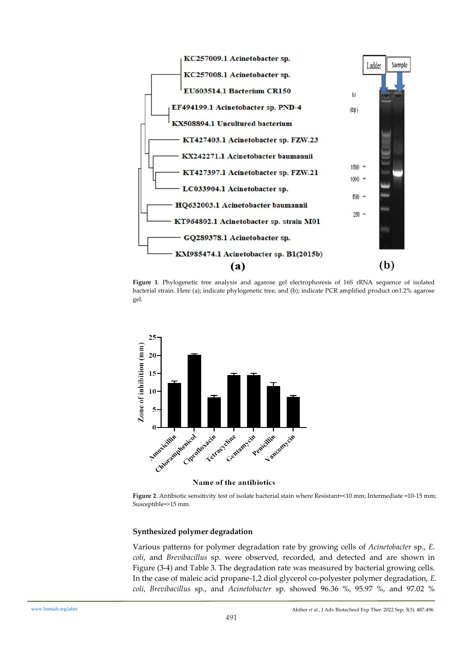

**Figure 1**. Phylogenetic tree analysis and agarose gel electrophoresis of 16S rRNA sequence of isolated bacterial strain. Here (a); indicate phylogenetic tree, and (b); indicate PCR amplified product on1.2% agarose gel.



Name of the antibiotics

**Figure 2**. Antibiotic sensitivity test of isolate bacterial stain where Resistant=<10 mm; Intermediate =10-15 mm; Susceptible=>15 mm.

#### **Synthesized polymer degradation**

Various patterns for polymer degradation rate by growing cells of *Acinetobacter* sp., *E. coli*, and *Brevibacillus* sp. were observed, recorded, and detected and are shown in Figure (3-4) and Table 3. The degradation rate was measured by bacterial growing cells. In the case of maleic acid propane-1,2 diol glycerol co-polyester polymer degradation, *E. coli*, *Brevibacillus* sp., and *Acinetobacter* sp. showed 96.36 %, 95.97 %, and 97.02 %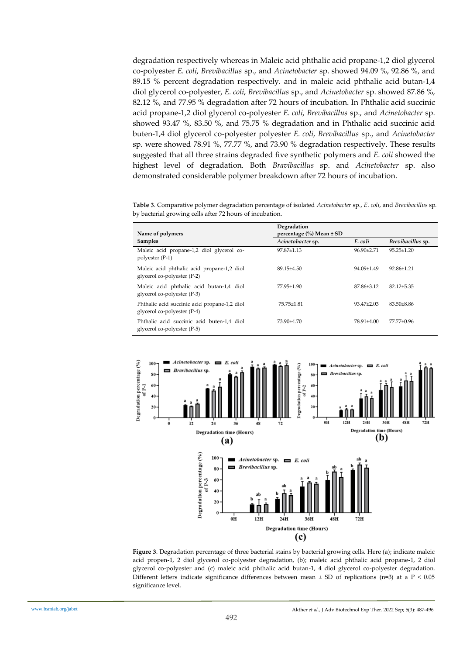degradation respectively whereas in Maleic acid phthalic acid propane-1,2 diol glycerol co-polyester *E. coli*, *Brevibacillus* sp., and *Acinetobacter* sp. showed 94.09 %, 92.86 %, and 89.15 % percent degradation respectively. and in maleic acid phthalic acid butan-1,4 diol glycerol co-polyester, *E. coli*, *Brevibacillus* sp., and *Acinetobacter* sp. showed 87.86 %, 82.12 %, and 77.95 % degradation after 72 hours of incubation. In Phthalic acid succinic acid propane-1,2 diol glycerol co-polyester *E. coli*, *Brevibacillus* sp., and *Acinetobacter* sp. showed 93.47 %, 83.50 %, and 75.75 % degradation and in Phthalic acid succinic acid buten-1,4 diol glycerol co-polyester polyester *E. coli*, *Brevibacillus* sp., and *Acinetobacter* sp. were showed 78.91 %, 77.77 %, and 73.90 % degradation respectively. These results suggested that all three strains degraded five synthetic polymers and *E. coli* showed the highest level of degradation. Both *Bravibacillus* sp. and *Acinetobacter* sp. also demonstrated considerable polymer breakdown after 72 hours of incubation.

**Table 3**. Comparative polymer degradation percentage of isolated *Acinetobacter* sp., *E. coli*, and *Brevibacillus* sp. by bacterial growing cells after 72 hours of incubation.

|                                                                             | Degradation                            |                  |                   |  |  |
|-----------------------------------------------------------------------------|----------------------------------------|------------------|-------------------|--|--|
| Name of polymers                                                            | percentage $\frac{6}{6}$ Mean $\pm$ SD |                  |                   |  |  |
| <b>Samples</b>                                                              | Acinetobacter sp.                      | E. coli          | Brevibacillus sp. |  |  |
| Maleic acid propane-1,2 diol glycerol co-<br>polyester (P-1)                | $97.87 + 1.13$                         | 96.90±2.71       | $95.25 \pm 1.20$  |  |  |
| Maleic acid phthalic acid propane-1,2 diol<br>glycerol co-polyester (P-2)   | 89.15±4.50                             | $94.09 \pm 1.49$ | $92.86 \pm 1.21$  |  |  |
| Maleic acid phthalic acid butan-1,4 diol<br>glycerol co-polyester (P-3)     | $77.95 \pm 1.90$                       | 87.86+3.12       | $82.12 + 5.35$    |  |  |
| Phthalic acid succinic acid propane-1,2 diol<br>glycerol co-polyester (P-4) | 75.75±1.81                             | $93.47 + 2.03$   | $83.50 \pm 8.86$  |  |  |
| Phthalic acid succinic acid buten-1,4 diol<br>glycerol co-polyester (P-5)   | 73.90+4.70                             | 78.91±4.00       | 77.77±0.96        |  |  |



**Figure 3**. Degradation percentage of three bacterial stains by bacterial growing cells. Here (a); indicate maleic acid propen-1, 2 diol glycerol co-polyester degradation, (b); maleic acid phthalic acid propane-1, 2 diol glycerol co-polyester and (c) maleic acid phthalic acid butan-1, 4 diol glycerol co-polyester degradation. Different letters indicate significance differences between mean  $\pm$  SD of replications (n=3) at a P < 0.05 significance level.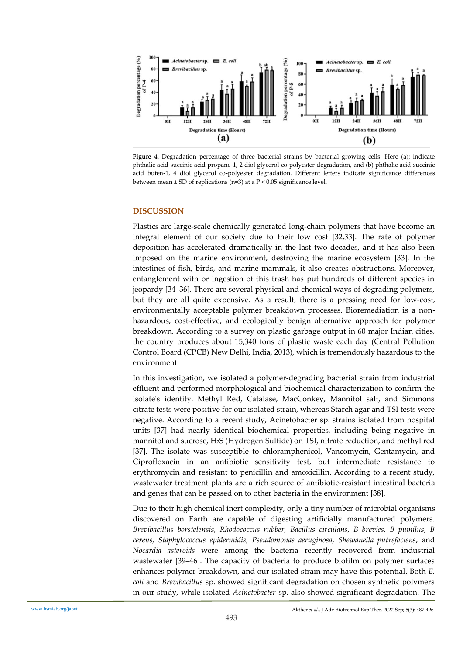

**Figure 4**. Degradation percentage of three bacterial strains by bacterial growing cells. Here (a); indicate phthalic acid succinic acid propane-1, 2 diol glycerol co-polyester degradation, and (b) phthalic acid succinic acid buten-1, 4 diol glycerol co-polyester degradation. Different letters indicate significance differences between mean ± SD of replications (n=3) at a P < 0.05 significance level.

#### **DISCUSSION**

Plastics are large-scale chemically generated long-chain polymers that have become an integral element of our society due to their low cost [32,33]. The rate of polymer deposition has accelerated dramatically in the last two decades, and it has also been imposed on the marine environment, destroying the marine ecosystem [33]. In the intestines of fish, birds, and marine mammals, it also creates obstructions. Moreover, entanglement with or ingestion of this trash has put hundreds of different species in jeopardy [34–36]. There are several physical and chemical ways of degrading polymers, but they are all quite expensive. As a result, there is a pressing need for low-cost, environmentally acceptable polymer breakdown processes. Bioremediation is a nonhazardous, cost-effective, and ecologically benign alternative approach for polymer breakdown. According to a survey on plastic garbage output in 60 major Indian cities, the country produces about 15,340 tons of plastic waste each day (Central Pollution Control Board (CPCB) New Delhi, India, 2013), which is tremendously hazardous to the environment.

In this investigation, we isolated a polymer-degrading bacterial strain from industrial effluent and performed morphological and biochemical characterization to confirm the isolate's identity. Methyl Red, Catalase, MacConkey, Mannitol salt, and Simmons citrate tests were positive for our isolated strain, whereas Starch agar and TSI tests were negative. According to a recent study, Acinetobacter sp. strains isolated from hospital units [37] had nearly identical biochemical properties, including being negative in mannitol and sucrose, H2S (Hydrogen Sulfide) on TSI, nitrate reduction, and methyl red [37]. The isolate was susceptible to chloramphenicol, Vancomycin, Gentamycin, and Ciprofloxacin in an antibiotic sensitivity test, but intermediate resistance to erythromycin and resistant to penicillin and amoxicillin. According to a recent study, wastewater treatment plants are a rich source of antibiotic-resistant intestinal bacteria and genes that can be passed on to other bacteria in the environment [38].

Due to their high chemical inert complexity, only a tiny number of microbial organisms discovered on Earth are capable of digesting artificially manufactured polymers. *Brevibacillus borstelensis, Rhodococcus rubber, Bacillus circulans, B brevies, B pumilus, B cereus, Staphylococcus epidermidis, Pseudomonas aeruginosa, Shewanella putrefaciens*, and *Nocardia asteroids* were among the bacteria recently recovered from industrial wastewater [39–46]. The capacity of bacteria to produce biofilm on polymer surfaces enhances polymer breakdown, and our isolated strain may have this potential. Both *E. coli* and *Brevibacillus* sp. showed significant degradation on chosen synthetic polymers in our study, while isolated *Acinetobacter* sp. also showed significant degradation. The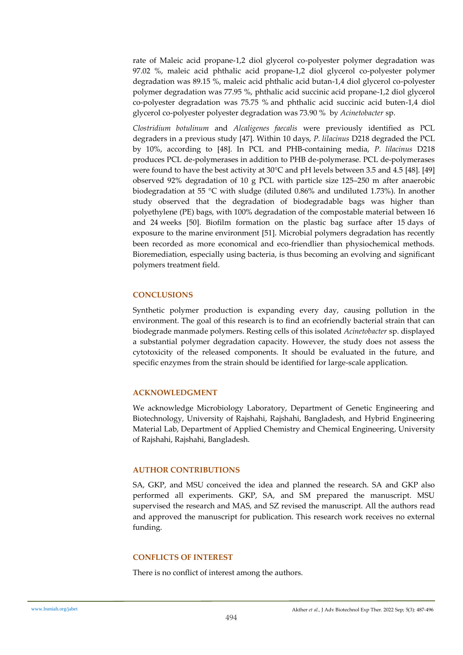rate of Maleic acid propane-1,2 diol glycerol co-polyester polymer degradation was 97.02 %, maleic acid phthalic acid propane-1,2 diol glycerol co-polyester polymer degradation was 89.15 %, maleic acid phthalic acid butan-1,4 diol glycerol co-polyester polymer degradation was 77.95 %, phthalic acid succinic acid propane-1,2 diol glycerol co-polyester degradation was 75.75 % and phthalic acid succinic acid buten-1,4 diol glycerol co-polyester polyester degradation was 73.90 % by *Acinetobacter* sp.

*Clostridium botulinum* and *Alcaligenes faecalis* were previously identified as PCL degraders in a previous study [47]. Within 10 days, *P. lilacinus* D218 degraded the PCL by 10%, according to [48]. In PCL and PHB-containing media, *P. lilacinus* D218 produces PCL de-polymerases in addition to PHB de-polymerase. PCL de-polymerases were found to have the best activity at 30°C and pH levels between 3.5 and 4.5 [48]. [49] observed 92% degradation of 10 g PCL with particle size 125–250 m after anaerobic biodegradation at 55 °C with sludge (diluted 0.86% and undiluted 1.73%). In another study observed that the degradation of biodegradable bags was higher than polyethylene (PE) bags, with 100% degradation of the compostable material between 16 and 24 weeks [50]. Biofilm formation on the plastic bag surface after 15 days of exposure to the marine environment [51]. Microbial polymers degradation has recently been recorded as more economical and eco-friendlier than physiochemical methods. Bioremediation, especially using bacteria, is thus becoming an evolving and significant polymers treatment field.

#### **CONCLUSIONS**

Synthetic polymer production is expanding every day, causing pollution in the environment. The goal of this research is to find an ecofriendly bacterial strain that can biodegrade manmade polymers. Resting cells of this isolated *Acinetobacter* sp. displayed a substantial polymer degradation capacity. However, the study does not assess the cytotoxicity of the released components. It should be evaluated in the future, and specific enzymes from the strain should be identified for large-scale application.

#### **ACKNOWLEDGMENT**

We acknowledge Microbiology Laboratory, Department of Genetic Engineering and Biotechnology, University of Rajshahi, Rajshahi, Bangladesh, and Hybrid Engineering Material Lab, Department of Applied Chemistry and Chemical Engineering, University of Rajshahi, Rajshahi, Bangladesh.

#### **AUTHOR CONTRIBUTIONS**

SA, GKP, and MSU conceived the idea and planned the research. SA and GKP also performed all experiments. GKP, SA, and SM prepared the manuscript. MSU supervised the research and MAS, and SZ revised the manuscript. All the authors read and approved the manuscript for publication. This research work receives no external funding.

#### **CONFLICTS OF INTEREST**

There is no conflict of interest among the authors.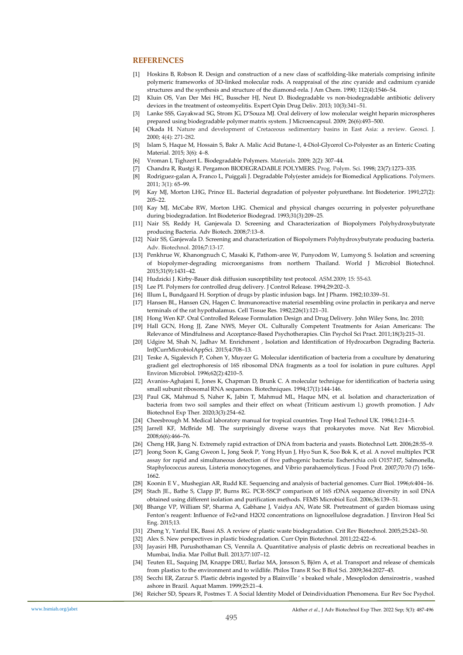#### **REFERENCES**

- [1] Hoskins B, Robson R. Design and construction of a new class of scaffolding-like materials comprising infinite polymeric frameworks of 3D-linked molecular rods. A reappraisal of the zinc cyanide and cadmium cyanide structures and the synthesis and structure of the diamond-rela. J Am Chem. 1990; 112(4):1546–54.
- [2] Kluin OS, Van Der Mei HC, Busscher HJ, Neut D. Biodegradable vs non-biodegradable antibiotic delivery devices in the treatment of osteomyelitis. Expert Opin Drug Deliv. 2013; 10(3):341–51.
- [3] Lanke SSS, Gayakwad SG, Strom JG, D'Souza MJ. Oral delivery of low molecular weight heparin microspheres prepared using biodegradable polymer matrix system. J Microencapsul. 2009; 26(6):493–500.
- [4] Okada H. Nature and development of Cretaceous sedimentary basins in East Asia: a review. Geosci. J. 2000; 4(4): 271-282.
- [5] Islam S, Haque M, Hossain S, Bakr A. Malic Acid Butane-1, 4-Diol-Glycerol Co-Polyester as an Enteric Coating Material. 2015; 3(6): 4–8.
- [6] Vroman I, Tighzert L. Biodegradable Polymers. Materials. 2009; 2(2): 307–44.
- [7] Chandra R, Rustgi R. Pergamon BIODEGRADABLE POLYMERS. Prog. Polym. Sci. 1998; 23(7):1273–335.
- [8] Rodriguez-galan A, Franco L, Puiggali J. Degradable Poly(ester amide)s for Biomedical Applications. Polymers. 2011; 3(1): 65–99.
- [9] Kay MJ, Morton LHG, Prince EL. Bacterial degradation of polyester polyurethane. Int Biodeterior. 1991;27(2): 205–22.
- [10] Kay MJ, McCabe RW, Morton LHG. Chemical and physical changes occurring in polyester polyurethane during biodegradation. Int Biodeterior Biodegrad. 1993;31(3):209–25.
- [11] Nair SS, Reddy H, Ganjewala D. Screening and Characterization of Biopolymers Polyhydroxybutyrate producing Bacteria. Adv Biotech. 2008;7:13–8.
- [12] Nair SS, Ganjewala D. Screening and characterization of Biopolymers Polyhydroxybutyrate producing bacteria. Adv. Biotechnol. 2016;7:13-17.
- [13] Penkhrue W, Khanongnuch C, Masaki K, Pathom-aree W, Punyodom W, Lumyong S. Isolation and screening of biopolymer-degrading microorganisms from northern Thailand. World J Microbiol Biotechnol. 2015;31(9):1431–42.
- [14] Hudzicki J. Kirby-Bauer disk diffusion susceptibility test protocol. ASM.2009; 15: 55-63.
- [15] Lee PI. Polymers for controlled drug delivery. J Control Release. 1994;29:202-3.
- [16] Illum L, Bundgaard H. Sorption of drugs by plastic infusion bags. Int J Pharm. 1982;10:339–51.
- [17] Hansen BL, Hansen GN, Hagen C. Immunoreactive material resembling ovine prolactin in perikarya and nerve terminals of the rat hypothalamus. Cell Tissue Res. 1982;226(1):121–31.
- [18] Hong Wen KP. Oral Controlled Release Formulation Design and Drug Delivery. John Wiley Sons, Inc. 2010;
- [19] Hall GCN, Hong JJ, Zane NWS, Meyer OL. Culturally Competent Treatments for Asian Americans: The Relevance of Mindfulness and Acceptance-Based Psychotherapies. Clin Psychol Sci Pract. 2011;18(3):215–31.
- [20] Udgire M, Shah N, Jadhav M. Enrichment , Isolation and Identification of Hydrocarbon Degrading Bacteria. IntJCurrMicrobiolAppSci. 2015;4:708–13.
- [21] Teske A, Sigalevich P, Cohen Y, Muyzer G. Molecular identification of bacteria from a coculture by denaturing gradient gel electrophoresis of 16S ribosomal DNA fragments as a tool for isolation in pure cultures. Appl Environ Microbiol. 1996;62(2):4210–5.
- [22] Avaniss-Aghajani E, Jones K, Chapman D, Brunk C. A molecular technique for identification of bacteria using small subunit ribosomal RNA sequences. Biotechniques. 1994;17(1):144-146.
- [23] Paul GK, Mahmud S, Naher K, Jabin T, Mahmud ML, Haque MN, et al. Isolation and characterization of bacteria from two soil samples and their effect on wheat (Triticum aestivum l.) growth promotion. J Adv Biotechnol Exp Ther. 2020;3(3):254–62.
- [24] Cheesbrough M. Medical laboratory manual for tropical countries. Trop Heal Technol UK. 1984;1:214–5.
- [25] Jarrell KF, McBride MJ. The surprisingly diverse ways that prokaryotes move. Nat Rev Microbiol. 2008;6(6):466–76.
- [26] Cheng HR, Jiang N. Extremely rapid extraction of DNA from bacteria and yeasts. Biotechnol Lett. 2006;28:55–9.
- [27] Jeong Soon K, Gang Gweon L, Jong Seok P, Yong Hyun J, Hyo Sun K, Soo Bok K, et al. A novel multiplex PCR assay for rapid and simultaneous detection of five pathogenic bacteria: Escherichia coli O157:H7, Salmonella, Staphylococcus aureus, Listeria monocytogenes, and Vibrio parahaemolyticus. J Food Prot. 2007;70:70 (7) 1656- 1662.
- [28] Koonin E V., Mushegian AR, Rudd KE. Sequencing and analysis of bacterial genomes. Curr Biol. 1996;6:404–16.
- [29] Stach JE., Bathe S, Clapp JP, Burns RG. PCR-SSCP comparison of 16S rDNA sequence diversity in soil DNA obtained using different isolation and purification methods. FEMS Microbiol Ecol. 2006;36:139–51.
- [30] Bhange VP, William SP, Sharma A, Gabhane J, Vaidya AN, Wate SR. Pretreatment of garden biomass using Fenton's reagent: Influence of Fe2+and H2O2 concentrations on lignocellulose degradation. J Environ Heal Sci Eng. 2015;13.
- [31] Zheng Y, Yanful EK, Bassi AS. A review of plastic waste biodegradation. Crit Rev Biotechnol. 2005;25:243–50.
- [32] Alex S. New perspectives in plastic biodegradation. Curr Opin Biotechnol. 2011;22:422–6.
- [33] Jayasiri HB, Purushothaman CS, Vennila A. Quantitative analysis of plastic debris on recreational beaches in Mumbai, India. Mar Pollut Bull. 2013;77:107–12.
- [34] Teuten EL, Saquing JM, Knappe DRU, Barlaz MA, Jonsson S, Björn A, et al. Transport and release of chemicals from plastics to the environment and to wildlife. Philos Trans R Soc B Biol Sci. 2009;364:2027–45.
- [35] Secchi ER, Zarzur S. Plastic debris ingested by a Blainville ' s beaked whale , Mesoplodon densirostris , washed ashore in Brazil. Aquat Mamm. 1999;25:21–4.
- [36] Reicher SD, Spears R, Postmes T. A Social Identity Model of Deindividuation Phenomena. Eur Rev Soc Psychol.